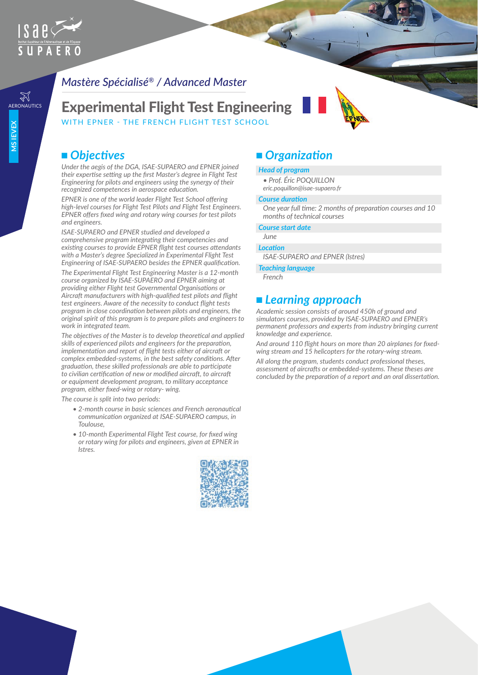

## *Mastère Spécialisé® / Advanced Master*

AERONAUTICS Experimental Flight Test Engineering WITH FPNER - THE FRENCH FLIGHT TEST SCHOOL

## ■ Objectives

*Under the aegis of the DGA, ISAE-SUPAERO and EPNER joined their expertise setting up the first Master's degree in Flight Test Engineering for pilots and engineers using the synergy of their recognized competences in aerospace education.*

*EPNER is one of the world leader Flight Test School offering high-level courses for Flight Test Pilots and Flight Test Engineers. EPNER offers fixed wing and rotary wing courses for test pilots and engineers.*

*ISAE-SUPAERO and EPNER studied and developed a comprehensive program integrating their competencies and existing courses to provide EPNER flight test courses attendants with a Master's degree Specialized in Experimental Flight Test Engineering of ISAE-SUPAERO besides the EPNER qualification.*

*The Experimental Flight Test Engineering Master is a 12-month course organized by ISAE-SUPAERO and EPNER aiming at providing either Flight test Governmental Organisations or Aircraft manufacturers with high-qualified test pilots and flight test engineers. Aware of the necessity to conduct flight tests program in close coordination between pilots and engineers, the original spirit of this program is to prepare pilots and engineers to work in integrated team.*

*The objectives of the Master is to develop theoretical and applied skills of experienced pilots and engineers for the preparation, implementation and report of flight tests either of aircraft or complex embedded-systems, in the best safety conditions. After graduation, these skilled professionals are able to participate to civilian certification of new or modified aircraft, to aircraft or equipment development program, to military acceptance program, either fixed-wing or rotary- wing.*

*The course is split into two periods:*

- *2-month course in basic sciences and French aeronautical communication organized at ISAE-SUPAERO campus, in Toulouse,*
- *10-month Experimental Flight Test course, for fixed wing or rotary wing for pilots and engineers, given at EPNER in Istres.*



## ■ *Organization*

#### *Head of program*

- *Prof. Éric POQUILLON*
- *eric.poquillon@isae-supaero.fr*

#### *Course duration*

*One year full time: 2 months of preparation courses and 10 months of technical courses*

#### *Course start date*

#### *June Location*

*ISAE-SUPAERO and EPNER (Istres)*

#### *Teaching language*

*French*

## ■ Learning approach

*Academic session consists of around 450h of ground and simulators courses, provided by ISAE-SUPAERO and EPNER's permanent professors and experts from industry bringing current knowledge and experience.*

*And around 110 flight hours on more than 20 airplanes for fixedwing stream and 15 helicopters for the rotary-wing stream.*

*All along the program, students conduct professional theses, assessment of aircrafts or embedded-systems. These theses are concluded by the preparation of a report and an oral dissertation.*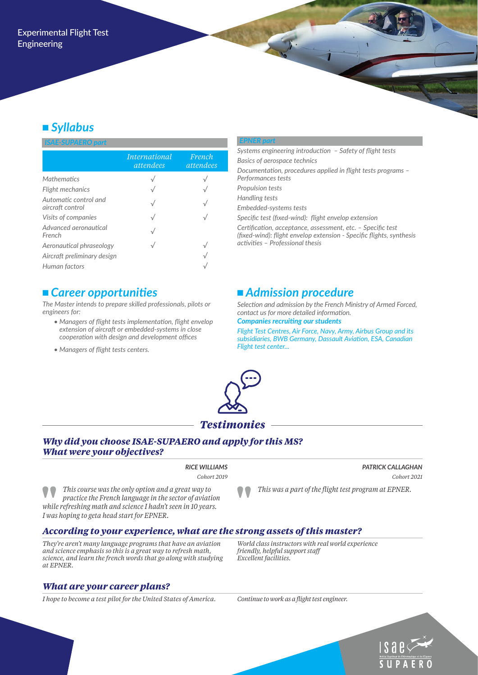# <sup>n</sup> *Syllabus*

#### *ISAE-SUPAERO part*

|                                           | <i>International</i><br>attendees | French<br>attendees |
|-------------------------------------------|-----------------------------------|---------------------|
| <b>Mathematics</b>                        |                                   |                     |
| Flight mechanics                          |                                   |                     |
| Automatic control and<br>aircraft control |                                   |                     |
| Visits of companies                       |                                   |                     |
| Advanced aeronautical<br>French           |                                   |                     |
| Aeronautical phraseology                  |                                   |                     |
| Aircraft preliminary design               |                                   |                     |
| Human factors                             |                                   |                     |

## <sup>n</sup>*Career opportunities*

*The Master intends to prepare skilled professionals, pilots or engineers for:*

- *Managers of flight tests implementation, flight envelop extension of aircraft or embedded-systems in close cooperation with design and development offices*
- *Managers of flight tests centers.*

#### *EPNER part*

*Systems engineering introduction – Safety of flight tests Basics of aerospace technics Documentation, procedures applied in flight tests programs – Performances tests Propulsion tests Handling tests Embedded-systems tests*

*Specific test (fixed-wind): flight envelop extension*

*Certification, acceptance, assessment, etc. – Specific test (fixed-wind): flight envelop extension - Specific flights, synthesis activities – Professional thesis*

## ■ *Admission procedure*

*Selection and admission by the French Ministry of Armed Forced, contact us for more detailed information.*

#### *Companies recruiting our students*

*Flight Test Centres, Air Force, Navy, Army, Airbus Group and its subsidiaries, BWB Germany, Dassault Aviation, ESA, Canadian Flight test center...*



#### *Why did you choose ISAE-SUPAERO and apply for this MS? What were your objectives?*

*RICE WILLIAMS Cohort 2019*

 *PATRICK CALLAGHAN Cohort 2021*

*This course was the only option and a great way to practice the French language in the sector of aviation while refreshing math and science I hadn't seen in 10 years. I was hoping to geta head start for EPNER.*

*This was a part of the flight test program at EPNER.* 

## *According to your experience, what are the strong assets of this master?*

*They're aren't many language programs that have an aviation and science emphasis so this is a great way to refresh math, science, and learn the french words that go along with studying at EPNER.* 

### *What are your career plans?*

*I hope to become a test pilot for the United States of America. Continue to work as a flight test engineer.*

*friendly, helpful support staff Excellent facilities.* 

*World class instructors with real world experience*